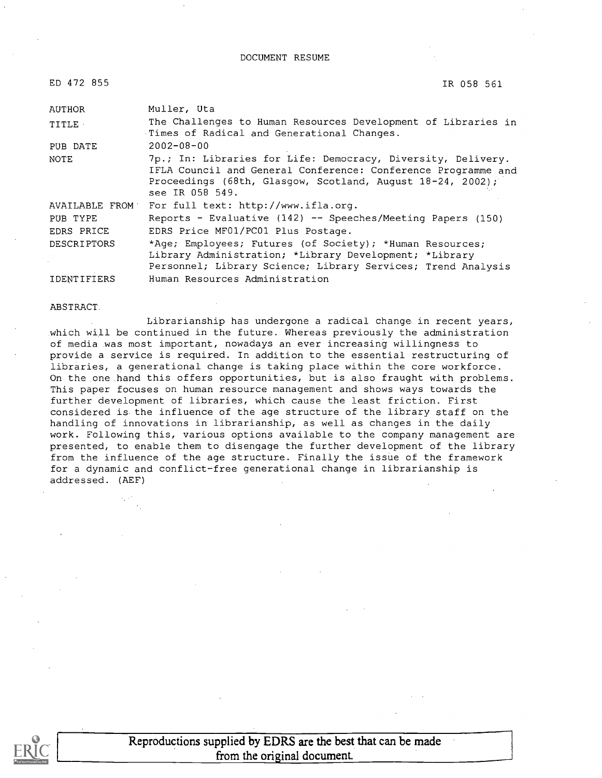DOCUMENT RESUME

ED 472 855

IR 058 561

| AUTHOR             | Muller, Uta                                                                                                                                                                                                    |  |
|--------------------|----------------------------------------------------------------------------------------------------------------------------------------------------------------------------------------------------------------|--|
| <b>TITLE</b>       | The Challenges to Human Resources Development of Libraries in<br>Times of Radical and Generational Changes.                                                                                                    |  |
| PUB DATE           | $2002 - 08 - 00$                                                                                                                                                                                               |  |
| NOTE               | 7p.; In: Libraries for Life: Democracy, Diversity, Delivery.<br>IFLA Council and General Conference: Conference Programme and<br>Proceedings (68th, Glasgow, Scotland, August 18-24, 2002);<br>see IR 058 549. |  |
| AVAILABLE FROM     | For full text: http://www.ifla.org.                                                                                                                                                                            |  |
| PUB TYPE           | Reports - Evaluative (142) -- Speeches/Meeting Papers (150)                                                                                                                                                    |  |
| EDRS PRICE         | EDRS Price MF01/PC01 Plus Postage.                                                                                                                                                                             |  |
| <b>DESCRIPTORS</b> | *Age; Employees; Futures (of Society); *Human Resources;<br>Library Administration; *Library Development; *Library<br>Personnel; Library Science; Library Services; Trend Analysis                             |  |
| IDENTIFIERS        | Human Resources Administration                                                                                                                                                                                 |  |

ABSTRACT.

Librarianship has undergone a radical change in recent years, which will be continued in the future. Whereas previously the administration of media was most important, nowadays an ever increasing willingness to provide a service is required. In addition to the essential restructuring of libraries, a generational change is taking place within the core workforce. On the one hand this offers opportunities, but is also fraught with problems. This paper focuses on human resource management and shows ways towards the further development of libraries, which cause the least friction. First considered is the influence of the age structure of the library staff on the handling of innovations in librarianship, as well as changes in the daily work. Following this, various options available to the company management are presented, to enable them to disengage the further development of the library from the influence of the age structure. Finally the issue of the framework for a dynamic and conflict-free generational change in librarianship is addressed. (AEF)

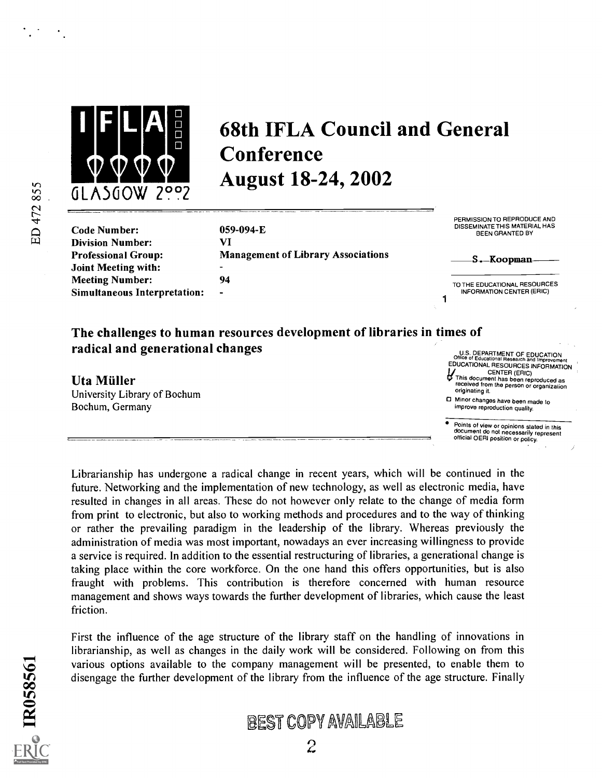

### 68th IFLA Council and General **Conference** August 18-24, 2002

ED 472 855

| 059-094-E |
|-----------|
| VI        |
| Managemen |
|           |
| 94        |
|           |
|           |

059-094-E Int of Library Associations PERMISSION TO REPRODUCE AND DISSEMINATE THIS MATERIAL HAS BEEN GRANTED BY

| —S.-Koopman— |
|--------------|
|              |
|              |

TO THE EDUCATIONAL RESOURCES INFORMATION CENTER (ERIC)

#### The challenges to human resources development of libraries in times of radical and generational changes

Uta Müller University Library of Bochum Bochum, Germany

U.S. DEPARTMENT OF EDUCATION<br>Office of Educational Research and Improvement<br>EDUCATIONAL RESOURCES INFORMATION CENTER (ERIC)

This document has been reproduced as received from the person or organization originating it. 0 Minor changes have been made to

improve reproduction quality.

Points of view or opinions stated in this document do not necessarily represent official OERI position or policy.

Librarianship has undergone a radical change in recent years, which will be continued in the future. Networking and the implementation of new technology, as well as electronic media, have resulted in changes in all areas. These do not however only relate to the change of media form from print to electronic, but also to working methods and procedures and to the way of thinking or rather the prevailing paradigm in the leadership of the library. Whereas previously the administration of media was most important, nowadays an ever increasing willingness to provide a service is required. In addition to the essential restructuring of libraries, a generational change is taking place within the core workforce. On the one hand this offers opportunities, but is also fraught with problems. This contribution is therefore concerned with human resource management and shows ways towards the further development of libraries, which cause the least friction.

First the influence of the age structure of the library staff on the handling of innovations in librarianship, as well as changes in the daily work will be considered. Following on from this various options available to the company management will be presented, to enable them to disengage the further development of the library from the influence of the age structure. Finally

### BEST COPY AVAILABLE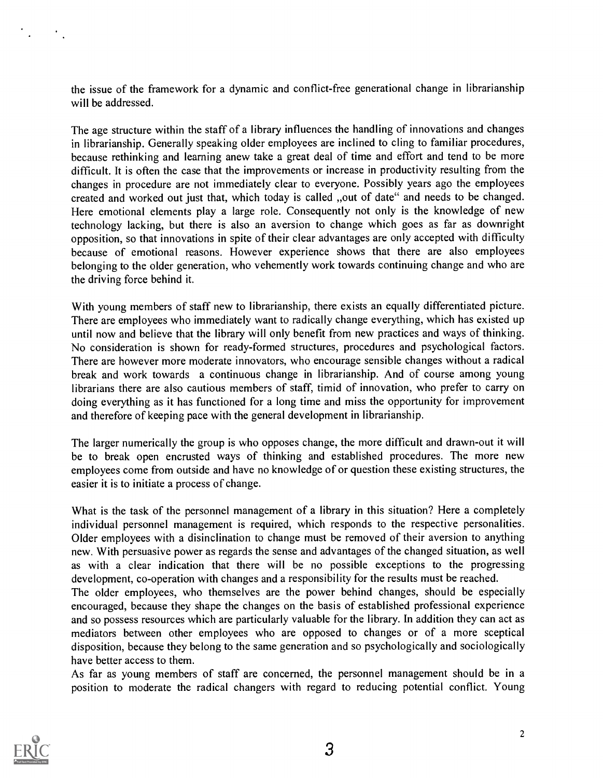the issue of the framework for a dynamic and conflict-free generational change in librarianship will be addressed.

The age structure within the staff of a library influences the handling of innovations and changes in librarianship. Generally speaking older employees are inclined to cling to familiar procedures, because rethinking and learning anew take a great deal of time and effort and tend to be more difficult. It is often the case that the improvements or increase in productivity resulting from the changes in procedure are not immediately clear to everyone. Possibly years ago the employees created and worked out just that, which today is called "out of date" and needs to be changed. Here emotional elements play a large role. Consequently not only is the knowledge of new technology lacking, but there is also an aversion to change which goes as far as downright opposition, so that innovations in spite of their clear advantages are only accepted with difficulty because of emotional reasons. However experience shows that there are also employees belonging to the older generation, who vehemently work towards continuing change and who are the driving force behind it.

With young members of staff new to librarianship, there exists an equally differentiated picture. There are employees who immediately want to radically change everything, which has existed up until now and believe that the library will only benefit from new practices and ways of thinking. No consideration is shown for ready-formed structures, procedures and psychological factors. There are however more moderate innovators, who encourage sensible changes without a radical break and work towards a continuous change in librarianship. And of course among young librarians there are also cautious members of staff, timid of innovation, who prefer to carry on doing everything as it has functioned for a long time and miss the opportunity for improvement and therefore of keeping pace with the general development in librarianship.

The larger numerically the group is who opposes change, the more difficult and drawn-out it will be to break open encrusted ways of thinking and established procedures. The more new employees come from outside and have no knowledge of or question these existing structures, the easier it is to initiate a process of change.

What is the task of the personnel management of a library in this situation? Here a completely individual personnel management is required, which responds to the respective personalities. Older employees with a disinclination to change must be removed of their aversion to anything new. With persuasive power as regards the sense and advantages of the changed situation, as well as with a clear indication that there will be no possible exceptions to the progressing development, co-operation with changes and a responsibility for the results must be reached.

The older employees, who themselves are the power behind changes, should be especially encouraged, because they shape the changes on the basis of established professional experience and so possess resources which are particularly valuable for the library. In addition they can act as mediators between other employees who are opposed to changes or of a more sceptical disposition, because they belong to the same generation and so psychologically and sociologically have better access to them.

As far as young members of staff are concerned, the personnel management should be in a position to moderate the radical changers with regard to reducing potential conflict. Young



 $\mathcal{L}^{\text{max}}$  ,  $\mathcal{L}^{\text{max}}$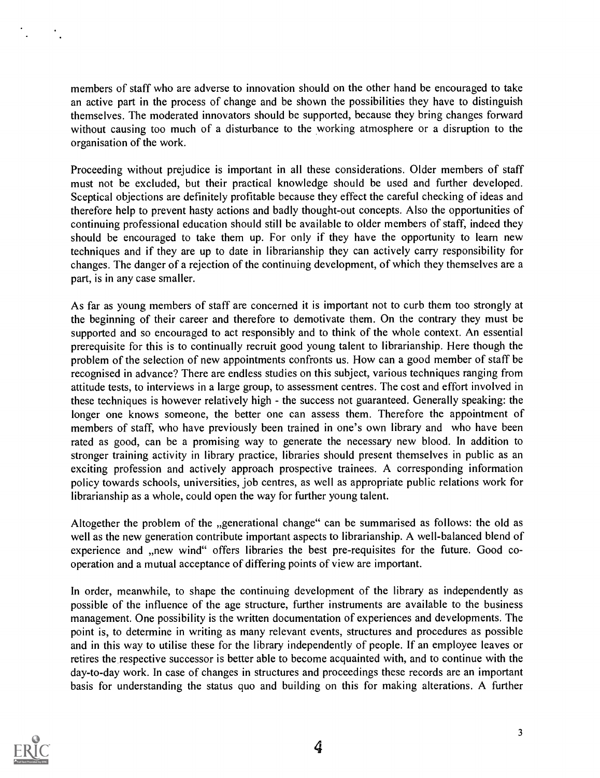members of staff who are adverse to innovation should on the other hand be encouraged to take an active part in the process of change and be shown the possibilities they have to distinguish themselves. The moderated innovators should be supported, because they bring changes forward without causing too much of a disturbance to the working atmosphere or a disruption to the organisation of the work.

Proceeding without prejudice is important in all these considerations. Older members of staff must not be excluded, but their practical knowledge should be used and further developed. Sceptical objections are definitely profitable because they effect the careful checking of ideas and therefore help to prevent hasty actions and badly thought-out concepts. Also the opportunities of continuing professional education should still be available to older members of staff, indeed they should be encouraged to take them up. For only if they have the opportunity to learn new techniques and if they are up to date in librarianship they can actively carry responsibility for changes. The danger of a rejection of the continuing development, of which they themselves are a part, is in any case smaller.

As far as young members of staff are concerned it is important not to curb them too strongly at the beginning of their career and therefore to demotivate them. On the contrary they must be supported and so encouraged to act responsibly and to think of the whole context. An essential prerequisite for this is to continually recruit good young talent to librarianship. Here though the problem of the selection of new appointments confronts us. How can a good member of staff be recognised in advance? There are endless studies on this subject, various techniques ranging from attitude tests, to interviews in a large group, to assessment centres. The cost and effort involved in these techniques is however relatively high - the success not guaranteed. Generally speaking: the longer one knows someone, the better one can assess them. Therefore the appointment of members of staff, who have previously been trained in one's own library and who have been rated as good, can be a promising way to generate the necessary new blood. In addition to stronger training activity in library practice, libraries should present themselves in public as an exciting profession and actively approach prospective trainees. A corresponding information policy towards schools, universities, job centres, as well as appropriate public relations work for librarianship as a whole, could open the way for further young talent.

Altogether the problem of the "generational change" can be summarised as follows: the old as well as the new generation contribute important aspects to librarianship. A well-balanced blend of experience and "new wind" offers libraries the best pre-requisites for the future. Good cooperation and a mutual acceptance of differing points of view are important.

In order, meanwhile, to shape the continuing development of the library as independently as possible of the influence of the age structure, further instruments are available to the business management. One possibility is the written documentation of experiences and developments. The point is, to determine in writing as many relevant events, structures and procedures as possible and in this way to utilise these for the library independently of people. If an employee leaves or retires the respective successor is better able to become acquainted with, and to continue with the day-to-day work. In case of changes in structures and proceedings these records are an important basis for understanding the status quo and building on this for making alterations. A further

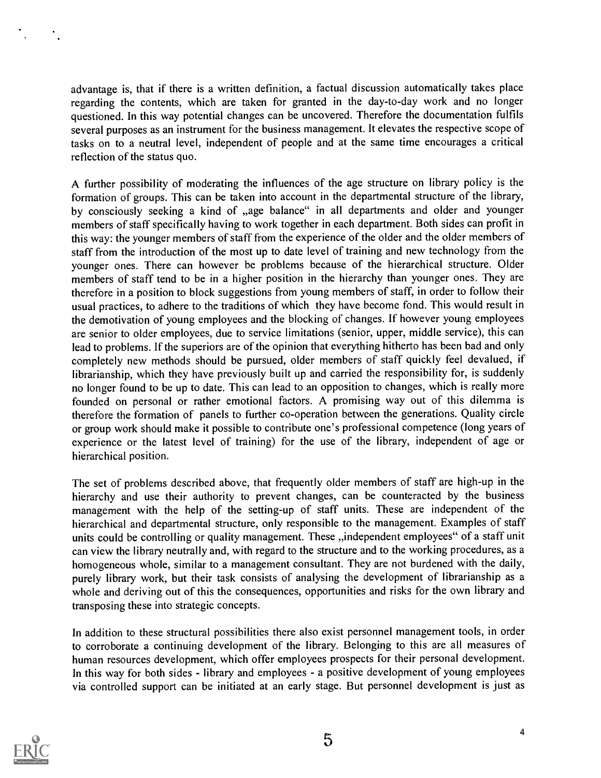advantage is, that if there is a written definition, a factual discussion automatically takes place regarding the contents, which are taken for granted in the day-to-day work and no longer questioned. In this way potential changes can be uncovered. Therefore the documentation fulfils several purposes as an instrument for the business management. It elevates the respective scope of tasks on to a neutral level, independent of people and at the same time encourages a critical reflection of the status quo.

A further possibility of moderating the influences of the age structure on library policy is the formation of groups. This can be taken into account in the departmental structure of the library, by consciously seeking a kind of "age balance" in all departments and older and younger members of staff specifically having to work together in each department. Both sides can profit in this way: the younger members of staff from the experience of the older and the older members of staff from the introduction of the most up to date level of training and new technology from the younger ones. There can however be problems because of the hierarchical structure. Older members of staff tend to be in a higher position in the hierarchy than younger ones. They are therefore in a position to block suggestions from young members of staff, in order to follow their usual practices, to adhere to the traditions of which they have become fond. This would result in the demotivation of young employees and the blocking of changes. If however young employees are senior to older employees, due to service limitations (senior, upper, middle service), this can lead to problems. If the superiors are of the opinion that everything hitherto has been bad and only completely new methods should be pursued, older members of staff quickly feel devalued, if librarianship, which they have previously built up and carried the responsibility for, is suddenly no longer found to be up to date. This can lead to an opposition to changes, which is really more founded on personal or rather emotional factors. A promising way out of this dilemma is therefore the formation of panels to further co-operation between the generations. Quality circle or group work should make it possible to contribute one's professional competence (long years of experience or the latest level of training) for the use of the library, independent of age or hierarchical position.

The set of problems described above, that frequently older members of staff are high-up in the hierarchy and use their authority to prevent changes, can be counteracted by the business management with the help of the setting-up of staff units. These are independent of the hierarchical and departmental structure, only responsible to the management. Examples of staff units could be controlling or quality management. These "independent employees" of a staff unit can view the library neutrally and, with regard to the structure and to the working procedures, as a homogeneous whole, similar to a management consultant. They are not burdened with the daily, purely library work, but their task consists of analysing the development of librarianship as a whole and deriving out of this the consequences, opportunities and risks for the own library and transposing these into strategic concepts.

In addition to these structural possibilities there also exist personnel management tools, in order to corroborate a continuing development of the library. Belonging to this are all measures of human resources development, which offer employees prospects for their personal development. In this way for both sides - library and employees - a positive development of young employees via controlled support can be initiated at an early stage. But personnel development is just as



4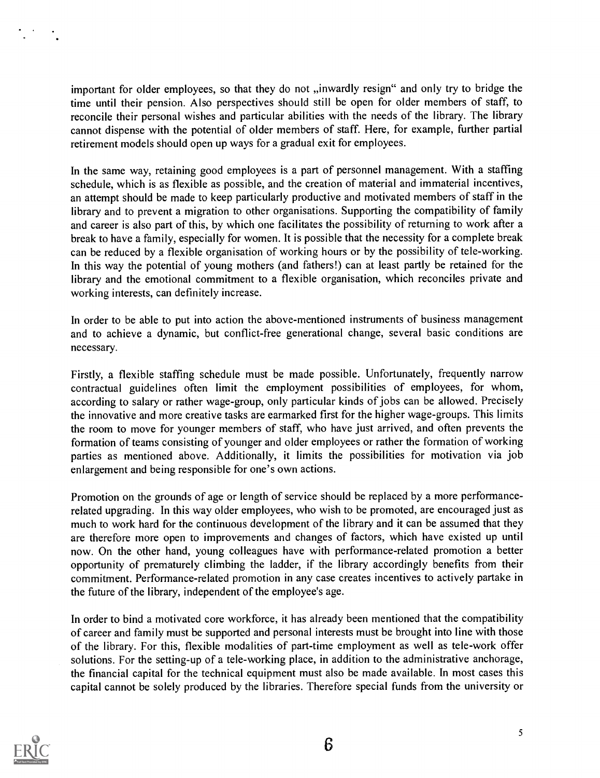important for older employees, so that they do not "inwardly resign" and only try to bridge the time until their pension. Also perspectives should still be open for older members of staff, to reconcile their personal wishes and particular abilities with the needs of the library. The library cannot dispense with the potential of older members of staff. Here, for example, further partial retirement models should open up ways for a gradual exit for employees.

In the same way, retaining good employees is a part of personnel management. With a staffing schedule, which is as flexible as possible, and the creation of material and immaterial incentives, an attempt should be made to keep particularly productive and motivated members of staff in the library and to prevent a migration to other organisations. Supporting the compatibility of family and career is also part of this, by which one facilitates the possibility of returning to work after a break to have a family, especially for women. It is possible that the necessity for a complete break can be reduced by a flexible organisation of working hours or by the possibility of tele-working. In this way the potential of young mothers (and fathers!) can at least partly be retained for the library and the emotional commitment to a flexible organisation, which reconciles private and working interests, can definitely increase.

In order to be able to put into action the above-mentioned instruments of business management and to achieve a dynamic, but conflict-free generational change, several basic conditions are necessary.

Firstly, a flexible staffing schedule must be made possible. Unfortunately, frequently narrow contractual guidelines often limit the employment possibilities of employees, for whom, according to salary or rather wage-group, only particular kinds of jobs can be allowed. Precisely the innovative and more creative tasks are earmarked first for the higher wage-groups. This limits the room to move for younger members of staff, who have just arrived, and often prevents the formation of teams consisting of younger and older employees or rather the formation of working parties as mentioned above. Additionally, it limits the possibilities for motivation via job enlargement and being responsible for one's own actions.

Promotion on the grounds of age or length of service should be replaced by a more performancerelated upgrading. In this way older employees, who wish to be promoted, are encouraged just as much to work hard for the continuous development of the library and it can be assumed that they are therefore more open to improvements and changes of factors, which have existed up until now. On the other hand, young colleagues have with performance-related promotion a better opportunity of prematurely climbing the ladder, if the library accordingly benefits from their commitment. Performance-related promotion in any case creates incentives to actively partake in the future of the library, independent of the employee's age.

In order to bind a motivated core workforce, it has already been mentioned that the compatibility of career and family must be supported and personal interests must be brought into line with those of the library. For this, flexible modalities of part-time employment as well as tele-work offer solutions. For the setting-up of a tele-working place, in addition to the administrative anchorage, the financial capital for the technical equipment must also be made available. In most cases this capital cannot be solely produced by the libraries. Therefore special funds from the university or



5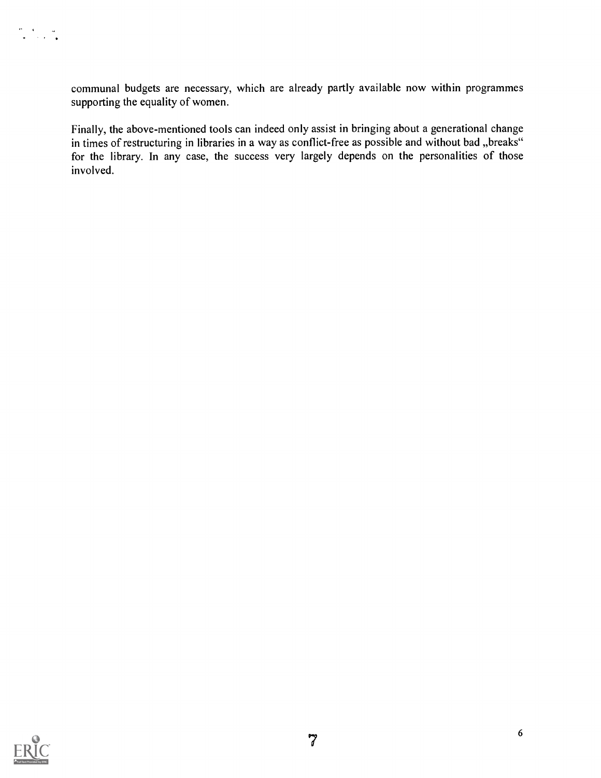communal budgets are necessary, which are already partly available now within programmes supporting the equality of women.

Finally, the above-mentioned tools can indeed only assist in bringing about a generational change in times of restructuring in libraries in a way as conflict-free as possible and without bad "breaks" for the library. In any case, the success very largely depends on the personalities of those involved.



 $\begin{array}{l} \frac{1}{2} \left( \frac{1}{2} \right) \left( \frac{1}{2} \right) \left( \frac{1}{2} \right) \left( \frac{1}{2} \right) \\ \frac{1}{2} \left( \frac{1}{2} \right) \left( \frac{1}{2} \right) \left( \frac{1}{2} \right) \left( \frac{1}{2} \right) \left( \frac{1}{2} \right) \end{array}$